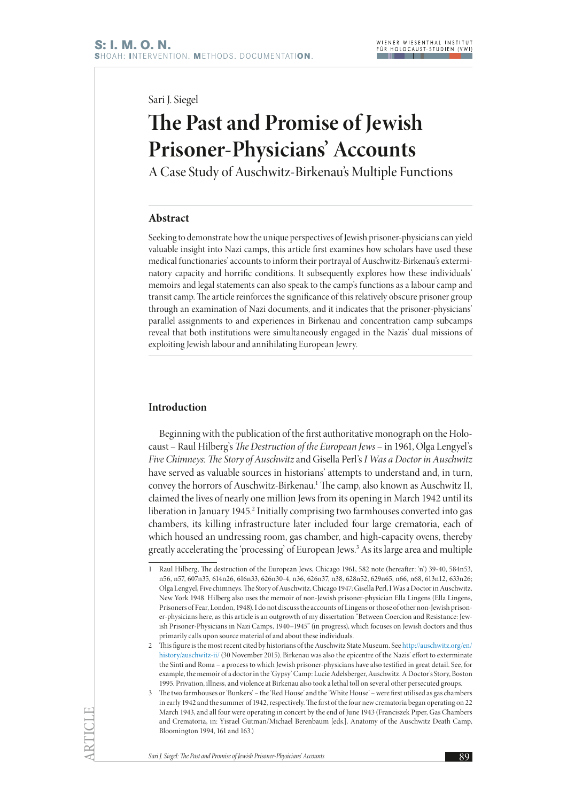Sari J. Siegel

# **The Past and Promise of Jewish Prisoner-Physicians' Accounts**

A Case Study of Auschwitz-Birkenau's Multiple Functions

## **Abstract**

Seeking to demonstrate how the unique perspectives of Jewish prisoner-physicians can yield valuable insight into Nazi camps, this article first examines how scholars have used these medical functionaries' accounts to inform their portrayal of Auschwitz-Birkenau's exterminatory capacity and horrific conditions. It subsequently explores how these individuals' memoirs and legal statements can also speak to the camp's functions as a labour camp and transit camp. The article reinforces the significance of this relatively obscure prisoner group through an examination of Nazi documents, and it indicates that the prisoner-physicians' parallel assignments to and experiences in Birkenau and concentration camp subcamps reveal that both institutions were simultaneously engaged in the Nazis' dual missions of exploiting Jewish labour and annihilating European Jewry.

## **Introduction**

Beginning with the publication of the first authoritative monograph on the Holocaust – Raul Hilberg's *The Destruction of the European Jews* – in 1961, Olga Lengyel's *Five Chimneys: The Story of Auschwitz* and Gisella Perl's *I Was a Doctor in Auschwitz* have served as valuable sources in historians' attempts to understand and, in turn, convey the horrors of Auschwitz-Birkenau.1 The camp, also known as Auschwitz II, claimed the lives of nearly one million Jews from its opening in March 1942 until its liberation in January 1945.2 Initially comprising two farmhouses converted into gas chambers, its killing infrastructure later included four large crematoria, each of which housed an undressing room, gas chamber, and high-capacity ovens, thereby greatly accelerating the 'processing' of European Jews.3 As its large area and multiple

<sup>1</sup> Raul Hilberg, The destruction of the European Jews, Chicago 1961, 582 note (hereafter: 'n') 39-40, 584n53, n56, n57, 607n35, 614n26, 616n33, 626n30-4, n36, 626n37, n38, 628n52, 629n65, n66, n68, 613n12, 633n26; Olga Lengyel, Five chimneys. The Story of Auschwitz, Chicago 1947; Gisella Perl, I Was a Doctor in Auschwitz, New York 1948. Hilberg also uses the memoir of non-Jewish prisoner-physician Ella Lingens (Ella Lingens, Prisoners of Fear, London, 1948). I do not discuss the accounts of Lingens or those of other non-Jewish prisoner-physicians here, as this article is an outgrowth of my dissertation "Between Coercion and Resistance: Jewish Prisoner-Physicians in Nazi Camps, 1940–1945" (in progress), which focuses on Jewish doctors and thus primarily calls upon source material of and about these individuals.

<sup>2</sup> This figure is the most recent cited by historians of the Auschwitz State Museum. See [http://auschwitz.org/en/](http://auschwitz.org/en/history/auschwitz-ii/) [history/auschwitz-ii/](http://auschwitz.org/en/history/auschwitz-ii/) (30 November 2015). Birkenau was also the epicentre of the Nazis' effort to exterminate the Sinti and Roma – a process to which Jewish prisoner-physicians have also testified in great detail. See, for example, the memoir of a doctor in the 'Gypsy' Camp: Lucie Adelsberger, Auschwitz. A Doctor's Story, Boston 1995. Privation, illness, and violence at Birkenau also took a lethal toll on several other persecuted groups.

<sup>3</sup> The two farmhouses or 'Bunkers' – the 'Red House' and the 'White House' – were first utilised as gas chambers in early 1942 and the summer of 1942, respectively. The first of the four new crematoria began operating on 22 March 1943, and all four were operating in concert by the end of June 1943 (Franciszek Piper, Gas Chambers and Crematoria, in: Yisrael Gutman/Michael Berenbaum [eds.], Anatomy of the Auschwitz Death Camp, Bloomington 1994, 161 and 163.)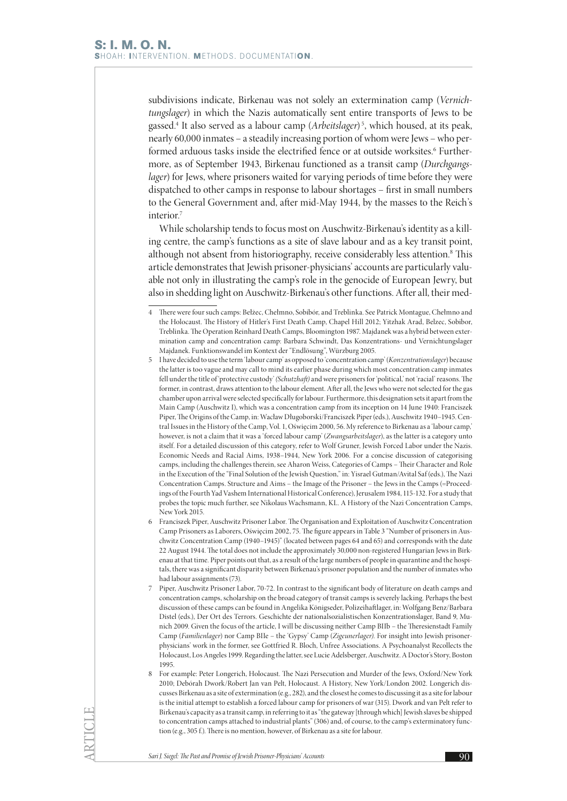subdivisions indicate, Birkenau was not solely an extermination camp (*Vernichtungslager*) in which the Nazis automatically sent entire transports of Jews to be gassed.4 It also served as a labour camp (*Arbeitslager*) <sup>5</sup> , which housed, at its peak, nearly 60,000 inmates – a steadily increasing portion of whom were Jews – who performed arduous tasks inside the electrified fence or at outside worksites.<sup>6</sup> Furthermore, as of September 1943, Birkenau functioned as a transit camp (*Durchgangslager*) for Jews, where prisoners waited for varying periods of time before they were dispatched to other camps in response to labour shortages – first in small numbers to the General Government and, after mid-May 1944, by the masses to the Reich's interior.7

While scholarship tends to focus most on Auschwitz-Birkenau's identity as a killing centre, the camp's functions as a site of slave labour and as a key transit point, although not absent from historiography, receive considerably less attention.<sup>8</sup> This article demonstrates that Jewish prisoner-physicians' accounts are particularly valuable not only in illustrating the camp's role in the genocide of European Jewry, but also in shedding light on Auschwitz-Birkenau's other functions. After all, their med-

- 5 I have decided to use the term 'labour camp' as opposed to 'concentration camp' (*Konzentrationslager*) because the latter is too vague and may call to mind its earlier phase during which most concentration camp inmates fell under the title of 'protective custody' *(Schutzhaft)* and were prisoners for 'political,' not 'racial' reasons. The former, in contrast, draws attention to the labour element. After all, the Jews who were not selected for the gas chamber upon arrival were selected specifically for labour. Furthermore, this designation sets it apart from the Main Camp (Auschwitz I), which was a concentration camp from its inception on 14 June 1940: Franciszek Piper, The Origins of the Camp, in: Wacław Długoborski/Franciszek Piper (eds.), Auschwitz 1940–1945. Central Issues in the History of the Camp, Vol. 1, Oświęcim 2000, 56. My reference to Birkenau as a 'labour camp,' however, is not a claim that it was a 'forced labour camp' (*Zwangsarbeitslager*), as the latter is a category unto itself. For a detailed discussion of this category, refer to Wolf Gruner, Jewish Forced Labor under the Nazis. Economic Needs and Racial Aims, 1938–1944, New York 2006. For a concise discussion of categorising camps, including the challenges therein, see Aharon Weiss, Categories of Camps – Their Character and Role in the Execution of the "Final Solution of the Jewish Question," in: Yisrael Gutman/Avital Saf (eds.), The Nazi Concentration Camps. Structure and Aims – the Image of the Prisoner – the Jews in the Camps (=Proceedings of the Fourth Yad Vashem International Historical Conference), Jerusalem 1984, 115-132. For a study that probes the topic much further, see Nikolaus Wachsmann, KL. A History of the Nazi Concentration Camps, New York 2015.
- 6 Franciszek Piper, Auschwitz Prisoner Labor. The Organisation and Exploitation of Auschwitz Concentration Camp Prisoners as Laborers, Oświęcim 2002, 75. The figure appears in Table 3 "Number of prisoners in Auschwitz Concentration Camp (1940–1945)" (located between pages 64 and 65) and corresponds with the date 22 August 1944. The total does not include the approximately 30,000 non-registered Hungarian Jews in Birkenau at that time. Piper points out that, as a result of the large numbers of people in quarantine and the hospitals, there was a significant disparity between Birkenau's prisoner population and the number of inmates who had labour assignments (73).
- 7 Piper, Auschwitz Prisoner Labor, 70-72. In contrast to the significant body of literature on death camps and concentration camps, scholarship on the broad category of transit camps is severely lacking. Perhaps the best discussion of these camps can be found in Angelika Königseder, Polizeihaftlager, in: Wolfgang Benz/Barbara Distel (eds.), Der Ort des Terrors. Geschichte der nationalsozialistischen Konzentrationslager, Band 9, Munich 2009. Given the focus of the article, I will be discussing neither Camp BIIb – the Theresienstadt Family Camp (*Familienlager*) nor Camp BIIe – the 'Gypsy' Camp (*Zigeunerlager)*. For insight into Jewish prisonerphysicians' work in the former, see Gottfried R. Bloch, Unfree Associations. A Psychoanalyst Recollects the Holocaust, Los Angeles 1999. Regarding the latter, see Lucie Adelsberger, Auschwitz. A Doctor's Story, Boston 1995.
- 8 For example: Peter Longerich, Holocaust. The Nazi Persecution and Murder of the Jews, Oxford/New York 2010; Debórah Dwork/Robert Jan van Pelt, Holocaust. A History, New York/London 2002. Longerich discusses Birkenau as a site of extermination (e.g., 282), and the closest he comes to discussing it as a site for labour is the initial attempt to establish a forced labour camp for prisoners of war (315). Dwork and van Pelt refer to Birkenau's capacity as a transit camp, in referring to it as "the gateway [through which] Jewish slaves be shipped to concentration camps attached to industrial plants" (306) and, of course, to the camp's exterminatory function (e.g., 305 f.). There is no mention, however, of Birkenau as a site for labour.

**Sari J. Siegel: The Past and Promise of Jewish Prisoner-Physicians' Accounts** 900 **900** 

<sup>4</sup> There were four such camps: Bełżec, Chełmno, Sobibór, and Treblinka. See Patrick Montague, Chełmno and the Holocaust. The History of Hitler's First Death Camp, Chapel Hill 2012; Yitzhak Arad, Belzec, Sobibor, Treblinka. The Operation Reinhard Death Camps, Bloomington 1987. Majdanek was a hybrid between extermination camp and concentration camp: Barbara Schwindt, Das Konzentrations- und Vernichtungslager Majdanek. Funktionswandel im Kontext der "Endlösung", Würzburg 2005.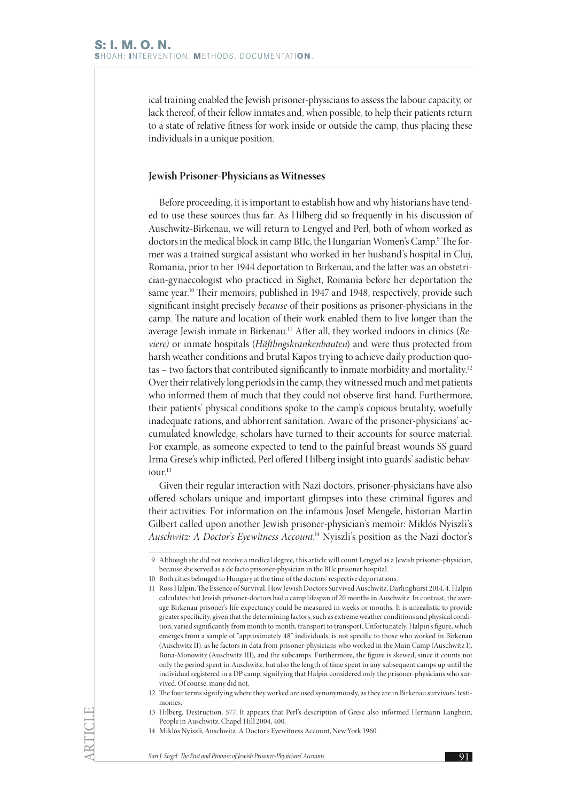ical training enabled the Jewish prisoner-physicians to assess the labour capacity, or lack thereof, of their fellow inmates and, when possible, to help their patients return to a state of relative fitness for work inside or outside the camp, thus placing these individuals in a unique position.

#### **Jewish Prisoner-Physicians as Witnesses**

Before proceeding, it is important to establish how and why historians have tended to use these sources thus far. As Hilberg did so frequently in his discussion of Auschwitz-Birkenau, we will return to Lengyel and Perl, both of whom worked as doctors in the medical block in camp BIIc, the Hungarian Women's Camp.<sup>9</sup> The former was a trained surgical assistant who worked in her husband's hospital in Cluj, Romania, prior to her 1944 deportation to Birkenau, and the latter was an obstetrician-gynaecologist who practiced in Sighet, Romania before her deportation the same year.<sup>10</sup> Their memoirs, published in 1947 and 1948, respectively, provide such significant insight precisely *because* of their positions as prisoner-physicians in the camp. The nature and location of their work enabled them to live longer than the average Jewish inmate in Birkenau.11 After all, they worked indoors in clinics (*Reviere)* or inmate hospitals (*Häftlingskrankenbauten*) and were thus protected from harsh weather conditions and brutal Kapos trying to achieve daily production quotas – two factors that contributed significantly to inmate morbidity and mortality.12 Over their relatively long periods in the camp, they witnessed much and met patients who informed them of much that they could not observe first-hand. Furthermore, their patients' physical conditions spoke to the camp's copious brutality, woefully inadequate rations, and abhorrent sanitation. Aware of the prisoner-physicians' accumulated knowledge, scholars have turned to their accounts for source material. For example, as someone expected to tend to the painful breast wounds SS guard Irma Grese's whip inflicted, Perl offered Hilberg insight into guards' sadistic behaviour.<sup>13</sup>

Given their regular interaction with Nazi doctors, prisoner-physicians have also offered scholars unique and important glimpses into these criminal figures and their activities. For information on the infamous Josef Mengele, historian Martin Gilbert called upon another Jewish prisoner-physician's memoir: Miklós Nyiszli's *Auschwitz: A Doctor's Eyewitness Account*. 14 Nyiszli's position as the Nazi doctor's

<sup>9</sup> Although she did not receive a medical degree, this article will count Lengyel as a Jewish prisoner-physician, because she served as a de facto prisoner-physician in the BIIc prisoner hospital.

<sup>10</sup> Both cities belonged to Hungary at the time of the doctors' respective deportations.

<sup>11</sup> Ross Halpin, The Essence of Survival. How Jewish Doctors Survived Auschwitz, Darlinghurst 2014, 4. Halpin calculates that Jewish prisoner-doctors had a camp lifespan of 20 months in Auschwitz. In contrast, the average Birkenau prisoner's life expectancy could be measured in weeks or months. It is unrealistic to provide greater specificity, given that the determining factors, such as extreme weather conditions and physical condition, varied significantly from month to month, transport to transport. Unfortunately, Halpin's figure, which emerges from a sample of "approximately 48" individuals, is not specific to those who worked in Birkenau (Auschwitz II), as he factors in data from prisoner-physicians who worked in the Main Camp (Auschwitz I), Buna-Monowitz (Auschwitz III), and the subcamps. Furthermore, the figure is skewed, since it counts not only the period spent in Auschwitz, but also the length of time spent in any subsequent camps up until the individual registered in a DP camp, signifying that Halpin considered only the prisoner-physicians who survived. Of course, many did not.

<sup>12</sup> The four terms signifying where they worked are used synonymously, as they are in Birkenau survivors' testimonies.

<sup>13</sup> Hilberg, Destruction, 577. It appears that Perl's description of Grese also informed Hermann Langbein, People in Auschwitz, Chapel Hill 2004, 400.

<sup>14</sup> Miklós Nyiszli, Auschwitz. A Doctor's Eyewitness Account, New York 1960.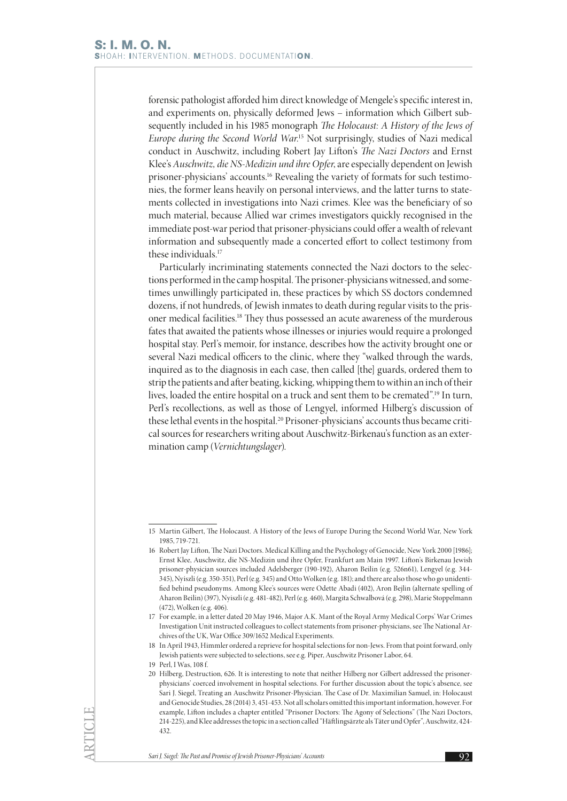forensic pathologist afforded him direct knowledge of Mengele's specific interest in, and experiments on, physically deformed Jews – information which Gilbert subsequently included in his 1985 monograph *The Holocaust: A History of the Jews of Europe during the Second World War*. 15 Not surprisingly, studies of Nazi medical conduct in Auschwitz, including Robert Jay Lifton's *The Nazi Doctors* and Ernst Klee's *Auschwitz, die NS-Medizin und ihre Opfer*, are especially dependent on Jewish prisoner-physicians' accounts.16 Revealing the variety of formats for such testimonies, the former leans heavily on personal interviews, and the latter turns to statements collected in investigations into Nazi crimes. Klee was the beneficiary of so much material, because Allied war crimes investigators quickly recognised in the immediate post-war period that prisoner-physicians could offer a wealth of relevant information and subsequently made a concerted effort to collect testimony from these individuals.17

Particularly incriminating statements connected the Nazi doctors to the selections performed in the camp hospital. The prisoner-physicians witnessed, and sometimes unwillingly participated in, these practices by which SS doctors condemned dozens, if not hundreds, of Jewish inmates to death during regular visits to the prisoner medical facilities.18 They thus possessed an acute awareness of the murderous fates that awaited the patients whose illnesses or injuries would require a prolonged hospital stay. Perl's memoir, for instance, describes how the activity brought one or several Nazi medical officers to the clinic, where they "walked through the wards, inquired as to the diagnosis in each case, then called [the] guards, ordered them to strip the patients and after beating, kicking, whipping them to within an inch of their lives, loaded the entire hospital on a truck and sent them to be cremated".19 In turn, Perl's recollections, as well as those of Lengyel, informed Hilberg's discussion of these lethal events in the hospital.<sup>20</sup> Prisoner-physicians' accounts thus became critical sources for researchers writing about Auschwitz-Birkenau's function as an extermination camp (*Vernichtungslager*).

<sup>15</sup> Martin Gilbert, The Holocaust. A History of the Jews of Europe During the Second World War, New York 1985, 719-721.

<sup>16</sup> Robert Jay Lifton, The Nazi Doctors. Medical Killing and the Psychology of Genocide, New York 2000 [1986]; Ernst Klee, Auschwitz, die NS-Medizin und ihre Opfer, Frankfurt am Main 1997. Lifton's Birkenau Jewish prisoner-physician sources included Adelsberger (190-192), Aharon Beilin (e.g. 526n61), Lengyel (e.g. 344- 345), Nyiszli (e.g. 350-351), Perl (e.g. 345) and Otto Wolken (e.g. 181); and there are also those who go unidentified behind pseudonyms. Among Klee's sources were Odette Abadi (402), Aron Bejlin (alternate spelling of Aharon Beilin) (397), Nyiszli (e.g. 481-482), Perl (e.g. 460), Margita Schwalbová (e.g. 298), Marie Stoppelmann (472), Wolken (e.g. 406).

<sup>17</sup> For example, in a letter dated 20 May 1946, Major A.K. Mant of the Royal Army Medical Corps' War Crimes Investigation Unit instructed colleagues to collect statements from prisoner-physicians, see The National Archives of the UK, War Office 309/1652 Medical Experiments.

<sup>18</sup> In April 1943, Himmler ordered a reprieve for hospital selections for non-Jews. From that point forward, only Jewish patients were subjected to selections, see e.g. Piper, Auschwitz Prisoner Labor, 64.

<sup>19</sup> Perl, I Was, 108 f.

<sup>20</sup> Hilberg, Destruction, 626. It is interesting to note that neither Hilberg nor Gilbert addressed the prisonerphysicians' coerced involvement in hospital selections. For further discussion about the topic's absence, see Sari J. Siegel, Treating an Auschwitz Prisoner-Physician. The Case of Dr. Maximilian Samuel, in: Holocaust and Genocide Studies, 28 (2014) 3, 451-453. Not all scholars omitted this important information, however. For example, Lifton includes a chapter entitled "Prisoner Doctors: The Agony of Selections" (The Nazi Doctors, 214-225), and Klee addresses the topic in a section called "Häftlingsärzte als Täter und Opfer", Auschwitz, 424- 432.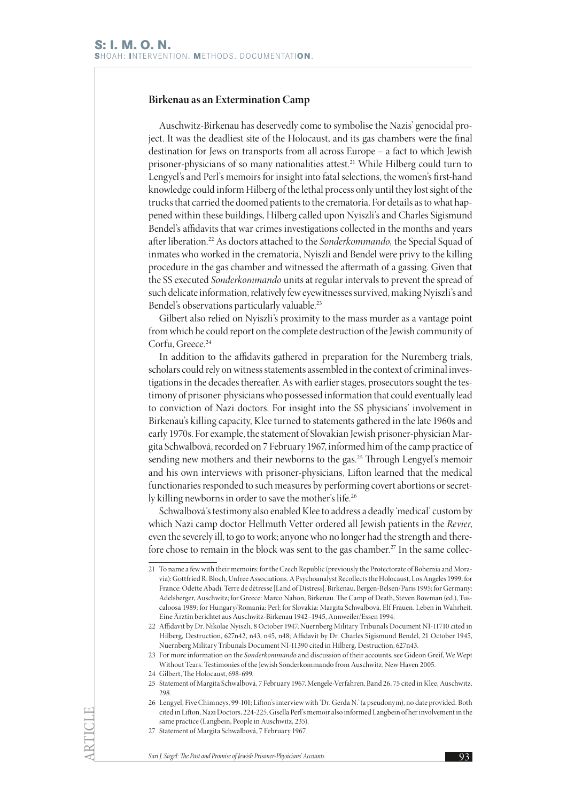## **Birkenau as an Extermination Camp**

Auschwitz-Birkenau has deservedly come to symbolise the Nazis' genocidal project. It was the deadliest site of the Holocaust, and its gas chambers were the final destination for Jews on transports from all across Europe – a fact to which Jewish prisoner-physicians of so many nationalities attest.<sup>21</sup> While Hilberg could turn to Lengyel's and Perl's memoirs for insight into fatal selections, the women's first-hand knowledge could inform Hilberg of the lethal process only until they lost sight of the trucks that carried the doomed patients to the crematoria. For details as to what happened within these buildings, Hilberg called upon Nyiszli's and Charles Sigismund Bendel's affidavits that war crimes investigations collected in the months and years after liberation.22 As doctors attached to the *Sonderkommando,* the Special Squad of inmates who worked in the crematoria, Nyiszli and Bendel were privy to the killing procedure in the gas chamber and witnessed the aftermath of a gassing. Given that the SS executed *Sonderkommando* units at regular intervals to prevent the spread of such delicate information, relatively few eyewitnesses survived, making Nyiszli's and Bendel's observations particularly valuable.23

Gilbert also relied on Nyiszli's proximity to the mass murder as a vantage point from which he could report on the complete destruction of the Jewish community of Corfu, Greece.<sup>24</sup>

In addition to the affidavits gathered in preparation for the Nuremberg trials, scholars could rely on witness statements assembled in the context of criminal investigations in the decades thereafter. As with earlier stages, prosecutors sought the testimony of prisoner-physicians who possessed information that could eventually lead to conviction of Nazi doctors. For insight into the SS physicians' involvement in Birkenau's killing capacity, Klee turned to statements gathered in the late 1960s and early 1970s. For example, the statement of Slovakian Jewish prisoner-physician Margita Schwalbová, recorded on 7 February 1967, informed him of the camp practice of sending new mothers and their newborns to the gas.<sup>25</sup> Through Lengyel's memoir and his own interviews with prisoner-physicians, Lifton learned that the medical functionaries responded to such measures by performing covert abortions or secretly killing newborns in order to save the mother's life.26

Schwalbová's testimony also enabled Klee to address a deadly 'medical' custom by which Nazi camp doctor Hellmuth Vetter ordered all Jewish patients in the *Revier*, even the severely ill, to go to work; anyone who no longer had the strength and therefore chose to remain in the block was sent to the gas chamber.<sup>27</sup> In the same collec-

<sup>21</sup> To name a few with their memoirs: for the Czech Republic (previously the Protectorate of Bohemia and Moravia): Gottfried R. Bloch, Unfree Associations. A Psychoanalyst Recollects the Holocaust, Los Angeles 1999; for France: Odette Abadi, Terre de détresse [Land of Distress]. Birkenau, Bergen-Belsen/Paris 1995; for Germany: Adelsberger, Auschwitz; for Greece: Marco Nahon, Birkenau. The Camp of Death, Steven Bowman (ed.), Tuscaloosa 1989; for Hungary/Romania: Perl; for Slovakia: Margita Schwalbová, Elf Frauen. Leben in Wahrheit. Eine Ärztin berichtet aus Auschwitz-Birkenau 1942–1945, Annweiler/Essen 1994.

<sup>22</sup> Affidavit by Dr. Nikolae Nyiszli, 8 October 1947, Nuernberg Military Tribunals Document NI-11710 cited in Hilberg, Destruction, 627n42, n43, n45, n48; Affidavit by Dr. Charles Sigismund Bendel, 21 October 1945, Nuernberg Military Tribunals Document NI-11390 cited in Hilberg, Destruction, 627n43.

<sup>23</sup> For more information on the *Sonderkommando* and discussion of their accounts, see Gideon Greif, We Wept Without Tears. Testimonies of the Jewish Sonderkommando from Auschwitz, New Haven 2005.

<sup>24</sup> Gilbert, The Holocaust, 698-699.

<sup>25</sup> Statement of Margita Schwalbová, 7 February 1967, Mengele-Verfahren, Band 26, 75 cited in Klee, Auschwitz, 298.

<sup>26</sup> Lengyel, Five Chimneys, 99-101; Lifton's interview with 'Dr. Gerda N.' (a pseudonym), no date provided. Both cited in Lifton, Nazi Doctors, 224-225. Gisella Perl's memoir also informed Langbein of her involvement in the same practice (Langbein, People in Auschwitz, 235).

<sup>27</sup> Statement of Margita Schwalbová, 7 February 1967.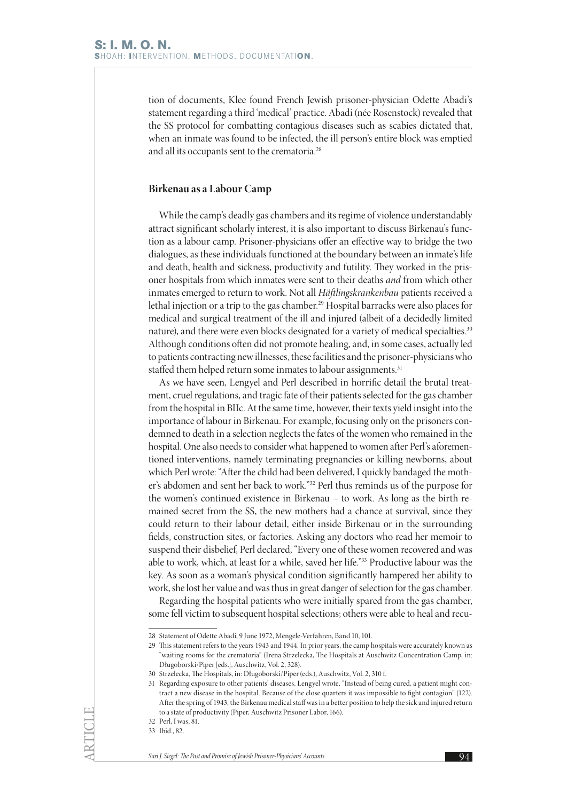tion of documents, Klee found French Jewish prisoner-physician Odette Abadi's statement regarding a third 'medical' practice. Abadi (née Rosenstock) revealed that the SS protocol for combatting contagious diseases such as scabies dictated that, when an inmate was found to be infected, the ill person's entire block was emptied and all its occupants sent to the crematoria.<sup>28</sup>

#### **Birkenau as a Labour Camp**

While the camp's deadly gas chambers and its regime of violence understandably attract significant scholarly interest, it is also important to discuss Birkenau's function as a labour camp. Prisoner-physicians offer an effective way to bridge the two dialogues, as these individuals functioned at the boundary between an inmate's life and death, health and sickness, productivity and futility. They worked in the prisoner hospitals from which inmates were sent to their deaths *and* from which other inmates emerged to return to work. Not all *Häftlingskrankenbau* patients received a lethal injection or a trip to the gas chamber.<sup>29</sup> Hospital barracks were also places for medical and surgical treatment of the ill and injured (albeit of a decidedly limited nature), and there were even blocks designated for a variety of medical specialties.30 Although conditions often did not promote healing, and, in some cases, actually led to patients contracting new illnesses, these facilities and the prisoner-physicians who staffed them helped return some inmates to labour assignments.<sup>31</sup>

As we have seen, Lengyel and Perl described in horrific detail the brutal treatment, cruel regulations, and tragic fate of their patients selected for the gas chamber from the hospital in BIIc. At the same time, however, their texts yield insight into the importance of labour in Birkenau. For example, focusing only on the prisoners condemned to death in a selection neglects the fates of the women who remained in the hospital. One also needs to consider what happened to women after Perl's aforementioned interventions, namely terminating pregnancies or killing newborns, about which Perl wrote: "After the child had been delivered, I quickly bandaged the mother's abdomen and sent her back to work."32 Perl thus reminds us of the purpose for the women's continued existence in Birkenau – to work. As long as the birth remained secret from the SS, the new mothers had a chance at survival, since they could return to their labour detail, either inside Birkenau or in the surrounding fields, construction sites, or factories. Asking any doctors who read her memoir to suspend their disbelief, Perl declared, "Every one of these women recovered and was able to work, which, at least for a while, saved her life."33 Productive labour was the key. As soon as a woman's physical condition significantly hampered her ability to work, she lost her value and was thus in great danger of selection for the gas chamber.

Regarding the hospital patients who were initially spared from the gas chamber, some fell victim to subsequent hospital selections; others were able to heal and recu-

<sup>28</sup> Statement of Odette Abadi, 9 June 1972, Mengele-Verfahren, Band 10, 101.

<sup>29</sup> This statement refers to the years 1943 and 1944. In prior years, the camp hospitals were accurately known as "waiting rooms for the crematoria" (Irena Strzelecka, The Hospitals at Auschwitz Concentration Camp, in: Długoborski/Piper [eds.], Auschwitz, Vol. 2, 328).

<sup>30</sup> Strzelecka, The Hospitals, in: Długoborski/Piper (eds.), Auschwitz, Vol. 2, 310 f.

<sup>31</sup> Regarding exposure to other patients' diseases, Lengyel wrote, "Instead of being cured, a patient might contract a new disease in the hospital. Because of the close quarters it was impossible to fight contagion" (122). After the spring of 1943, the Birkenau medical staff was in a better position to help the sick and injured return to a state of productivity (Piper, Auschwitz Prisoner Labor, 166).

<sup>32</sup> Perl, I was, 81.

<sup>33</sup> Ibid., 82.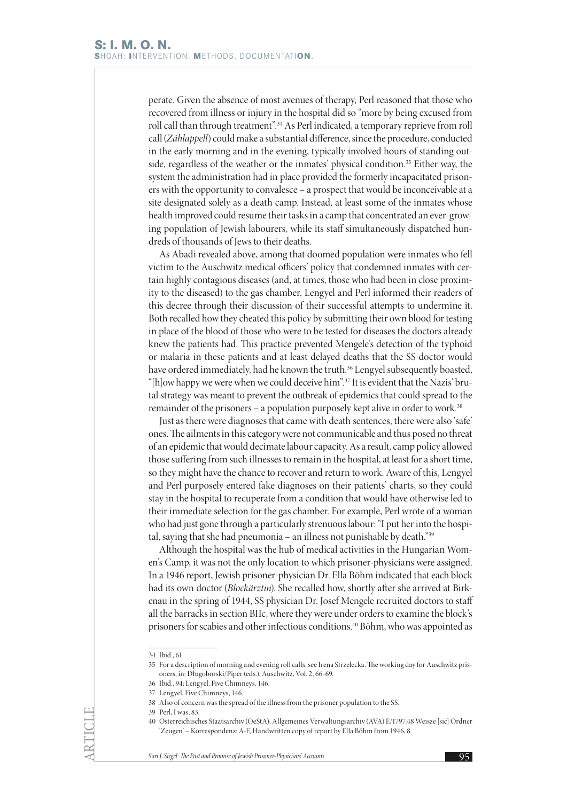perate. Given the absence of most avenues of therapy, Perl reasoned that those who recovered from illness or injury in the hospital did so "more by being excused from roll call than through treatment".<sup>34</sup> As Perl indicated, a temporary reprieve from roll call (*Zählappell*) could make a substantial difference, since the procedure, conducted in the early morning and in the evening, typically involved hours of standing outside, regardless of the weather or the inmates' physical condition.<sup>35</sup> Either way, the system the administration had in place provided the formerly incapacitated prisoners with the opportunity to convalesce – a prospect that would be inconceivable at a site designated solely as a death camp. Instead, at least some of the inmates whose health improved could resume their tasks in a camp that concentrated an ever-growing population of Jewish labourers, while its staff simultaneously dispatched hundreds of thousands of Jews to their deaths.

As Abadi revealed above, among that doomed population were inmates who fell victim to the Auschwitz medical officers' policy that condemned inmates with certain highly contagious diseases (and, at times, those who had been in close proximity to the diseased) to the gas chamber. Lengyel and Perl informed their readers of this decree through their discussion of their successful attempts to undermine it. Both recalled how they cheated this policy by submitting their own blood for testing in place of the blood of those who were to be tested for diseases the doctors already knew the patients had. This practice prevented Mengele's detection of the typhoid or malaria in these patients and at least delayed deaths that the SS doctor would have ordered immediately, had he known the truth.<sup>36</sup> Lengyel subsequently boasted, "[h]ow happy we were when we could deceive him".37 It is evident that the Nazis' brutal strategy was meant to prevent the outbreak of epidemics that could spread to the remainder of the prisoners – a population purposely kept alive in order to work.38

Just as there were diagnoses that came with death sentences, there were also 'safe' ones. The ailments in this category were not communicable and thus posed no threat of an epidemic that would decimate labour capacity. As a result, camp policy allowed those suffering from such illnesses to remain in the hospital, at least for a short time, so they might have the chance to recover and return to work. Aware of this, Lengyel and Perl purposely entered fake diagnoses on their patients' charts, so they could stay in the hospital to recuperate from a condition that would have otherwise led to their immediate selection for the gas chamber. For example, Perl wrote of a woman who had just gone through a particularly strenuous labour: "I put her into the hospital, saying that she had pneumonia – an illness not punishable by death."39

Although the hospital was the hub of medical activities in the Hungarian Women's Camp, it was not the only location to which prisoner-physicians were assigned. In a 1946 report, Jewish prisoner-physician Dr. Ella Böhm indicated that each block had its own doctor (*Blockärztin*). She recalled how, shortly after she arrived at Birkenau in the spring of 1944, SS physician Dr. Josef Mengele recruited doctors to staff all the barracks in section BIIc, where they were under orders to examine the block's prisoners for scabies and other infectious conditions.40 Böhm, who was appointed as

39 Perl, I was, 83.

<sup>34</sup> Ibid. 61.

<sup>35</sup> For a description of morning and evening roll calls, see Irena Strzelecka, The working day for Auschwitz prisoners, in: Długoborski/Piper (eds.), Auschwitz, Vol. 2, 66-69.

<sup>36</sup> Ibid., 94; Lengyel, Five Chimneys, 146.

<sup>37</sup> Lengyel, Five Chimneys, 146.

<sup>38</sup> Also of concern was the spread of the illness from the prisoner population to the SS.

<sup>40</sup> Österreichisches Staatsarchiv (OeStA), Allgemeines Verwaltungsarchiv (AVA) E/1797:48 Weisze [sic] Ordner 'Zeugen' – Korrespondenz: A-F, Handwritten copy of report by Ella Böhm from 1946, 8.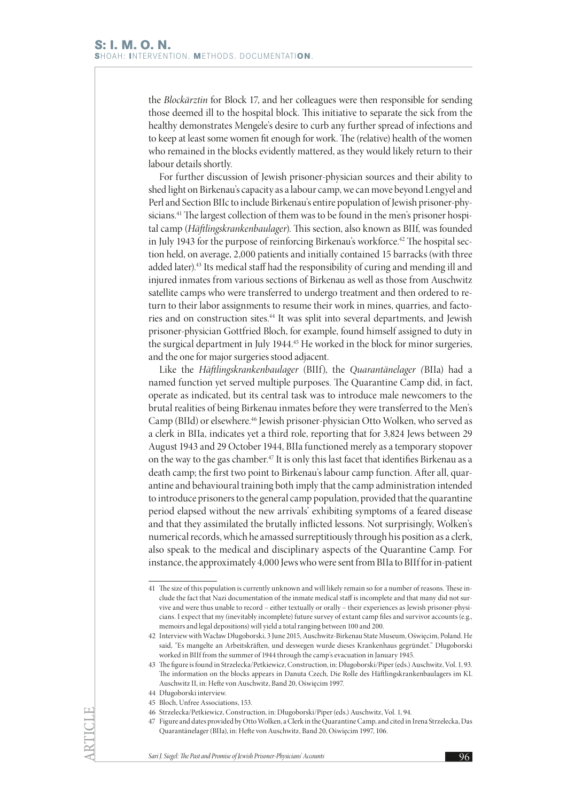the *Blockärztin* for Block 17, and her colleagues were then responsible for sending those deemed ill to the hospital block. This initiative to separate the sick from the healthy demonstrates Mengele's desire to curb any further spread of infections and to keep at least some women fit enough for work. The (relative) health of the women who remained in the blocks evidently mattered, as they would likely return to their labour details shortly.

For further discussion of Jewish prisoner-physician sources and their ability to shed light on Birkenau's capacity as a labour camp, we can move beyond Lengyel and Perl and Section BIIc to include Birkenau's entire population of Jewish prisoner-physicians.<sup>41</sup> The largest collection of them was to be found in the men's prisoner hospital camp (*Häftlingskrankenbaulager*). This section, also known as BIIf, was founded in July 1943 for the purpose of reinforcing Birkenau's workforce.<sup>42</sup> The hospital section held, on average, 2,000 patients and initially contained 15 barracks (with three added later).43 Its medical staff had the responsibility of curing and mending ill and injured inmates from various sections of Birkenau as well as those from Auschwitz satellite camps who were transferred to undergo treatment and then ordered to return to their labor assignments to resume their work in mines, quarries, and factories and on construction sites.44 It was split into several departments, and Jewish prisoner-physician Gottfried Bloch, for example, found himself assigned to duty in the surgical department in July 1944.<sup>45</sup> He worked in the block for minor surgeries, and the one for major surgeries stood adjacent.

Like the *Häftlingskrankenbaulager* (BIIf), the *Quarantänelager (*BIIa) had a named function yet served multiple purposes. The Quarantine Camp did, in fact, operate as indicated, but its central task was to introduce male newcomers to the brutal realities of being Birkenau inmates before they were transferred to the Men's Camp (BIId) or elsewhere.46 Jewish prisoner-physician Otto Wolken, who served as a clerk in BIIa, indicates yet a third role, reporting that for 3,824 Jews between 29 August 1943 and 29 October 1944, BIIa functioned merely as a temporary stopover on the way to the gas chamber.<sup>47</sup> It is only this last facet that identifies Birkenau as a death camp; the first two point to Birkenau's labour camp function. After all, quarantine and behavioural training both imply that the camp administration intended to introduce prisoners to the general camp population, provided that the quarantine period elapsed without the new arrivals' exhibiting symptoms of a feared disease and that they assimilated the brutally inflicted lessons. Not surprisingly, Wolken's numerical records, which he amassed surreptitiously through his position as a clerk, also speak to the medical and disciplinary aspects of the Quarantine Camp. For instance, the approximately 4,000 Jews who were sent from BIIa to BIIf for in-patient

44 Długoborski interview.

ARTICLE

45 Bloch, Unfree Associations, 153.

<sup>41</sup> The size of this population is currently unknown and will likely remain so for a number of reasons. These include the fact that Nazi documentation of the inmate medical staff is incomplete and that many did not survive and were thus unable to record – either textually or orally – their experiences as Jewish prisoner-physicians. I expect that my (inevitably incomplete) future survey of extant camp files and survivor accounts (e.g., memoirs and legal depositions) will yield a total ranging between 100 and 200.

<sup>42</sup> Interview with Wacław Długoborski, 3 June 2015, Auschwitz-Birkenau State Museum, Oświęcim, Poland. He said, "Es mangelte an Arbeitskräften, und deswegen wurde dieses Krankenhaus gegründet." Długoborski worked in BIIf from the summer of 1944 through the camp's evacuation in January 1945.

<sup>43</sup> The figure is found in Strzelecka/Petkiewicz, Construction, in: Długoborski/Piper (eds.) Auschwitz, Vol. 1, 93. The information on the blocks appears in Danuta Czech, Die Rolle des Häftlingskrankenbaulagers im KL Auschwitz II, in: Hefte von Auschwitz, Band 20, Oświęcim 1997.

<sup>46</sup> Strzelecka/Petkiewicz, Construction, in: Długoborski/Piper (eds.) Auschwitz, Vol. 1, 94.

<sup>47</sup> Figure and dates provided by Otto Wolken, a Clerk in the Quarantine Camp, and cited in Irena Strzelecka, Das Quarantänelager (BIIa), in: Hefte von Auschwitz, Band 20, Oświęcim 1997, 106.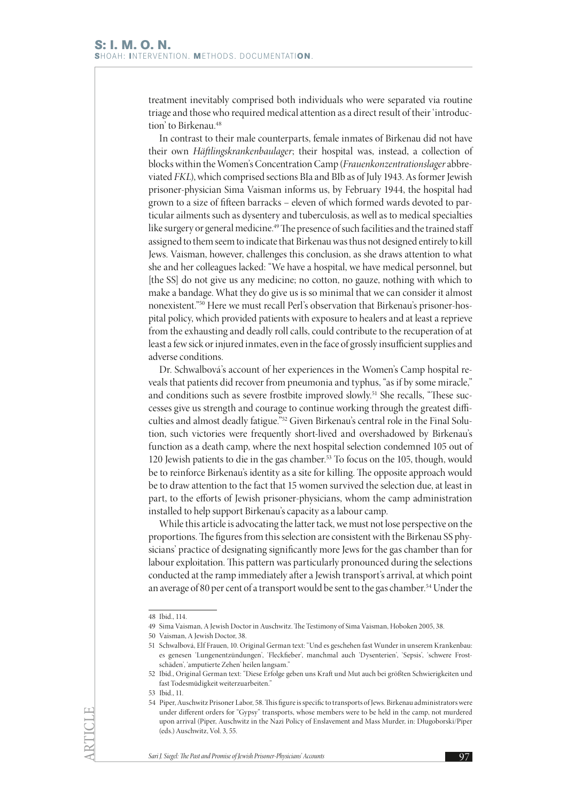treatment inevitably comprised both individuals who were separated via routine triage and those who required medical attention as a direct result of their 'introduction' to Birkenau.<sup>48</sup>

In contrast to their male counterparts, female inmates of Birkenau did not have their own *Häftlingskrankenbaulager*; their hospital was, instead, a collection of blocks within the Women's Concentration Camp (*Frauenkonzentrationslager* abbreviated *FKL*), which comprised sections BIa and BIb as of July 1943. As former Jewish prisoner-physician Sima Vaisman informs us, by February 1944, the hospital had grown to a size of fifteen barracks – eleven of which formed wards devoted to particular ailments such as dysentery and tuberculosis, as well as to medical specialties like surgery or general medicine.<sup>49</sup> The presence of such facilities and the trained staff assigned to them seem to indicate that Birkenau was thus not designed entirely to kill Jews. Vaisman, however, challenges this conclusion, as she draws attention to what she and her colleagues lacked: "We have a hospital, we have medical personnel, but [the SS] do not give us any medicine; no cotton, no gauze, nothing with which to make a bandage. What they do give us is so minimal that we can consider it almost nonexistent."50 Here we must recall Perl's observation that Birkenau's prisoner-hospital policy, which provided patients with exposure to healers and at least a reprieve from the exhausting and deadly roll calls, could contribute to the recuperation of at least a few sick or injured inmates, even in the face of grossly insufficient supplies and adverse conditions.

Dr. Schwalbová's account of her experiences in the Women's Camp hospital reveals that patients did recover from pneumonia and typhus, "as if by some miracle," and conditions such as severe frostbite improved slowly.<sup>51</sup> She recalls, "These successes give us strength and courage to continue working through the greatest difficulties and almost deadly fatigue."52 Given Birkenau's central role in the Final Solution, such victories were frequently short-lived and overshadowed by Birkenau's function as a death camp, where the next hospital selection condemned 105 out of 120 Jewish patients to die in the gas chamber.53 To focus on the 105, though, would be to reinforce Birkenau's identity as a site for killing. The opposite approach would be to draw attention to the fact that 15 women survived the selection due, at least in part, to the efforts of Jewish prisoner-physicians, whom the camp administration installed to help support Birkenau's capacity as a labour camp.

While this article is advocating the latter tack, we must not lose perspective on the proportions. The figures from this selection are consistent with the Birkenau SS physicians' practice of designating significantly more Jews for the gas chamber than for labour exploitation. This pattern was particularly pronounced during the selections conducted at the ramp immediately after a Jewish transport's arrival, at which point an average of 80 per cent of a transport would be sent to the gas chamber.<sup>54</sup> Under the

<sup>48</sup> Ibid., 114.

<sup>49</sup> Sima Vaisman, A Jewish Doctor in Auschwitz. The Testimony of Sima Vaisman, Hoboken 2005, 38.

<sup>50</sup> Vaisman, A Jewish Doctor, 38.

<sup>51</sup> Schwalbová, Elf Frauen, 10. Original German text: "Und es geschehen fast Wunder in unserem Krankenbau: es genesen 'Lungenentzündungen', 'Fleckfieber', manchmal auch 'Dysenterien', 'Sepsis', 'schwere Frostschäden', 'amputierte Zehen' heilen langsam."

<sup>52</sup> Ibid., Original German text: "Diese Erfolge geben uns Kraft und Mut auch bei größten Schwierigkeiten und fast Todesmüdigkeit weiterzuarbeiten."

<sup>53</sup> Ibid., 11.

<sup>54</sup> Piper, Auschwitz Prisoner Labor, 58. This figure is specific to transports of Jews. Birkenau administrators were under different orders for "Gypsy" transports, whose members were to be held in the camp, not murdered upon arrival (Piper, Auschwitz in the Nazi Policy of Enslavement and Mass Murder, in: Długoborski/Piper (eds.) Auschwitz, Vol. 3, 55.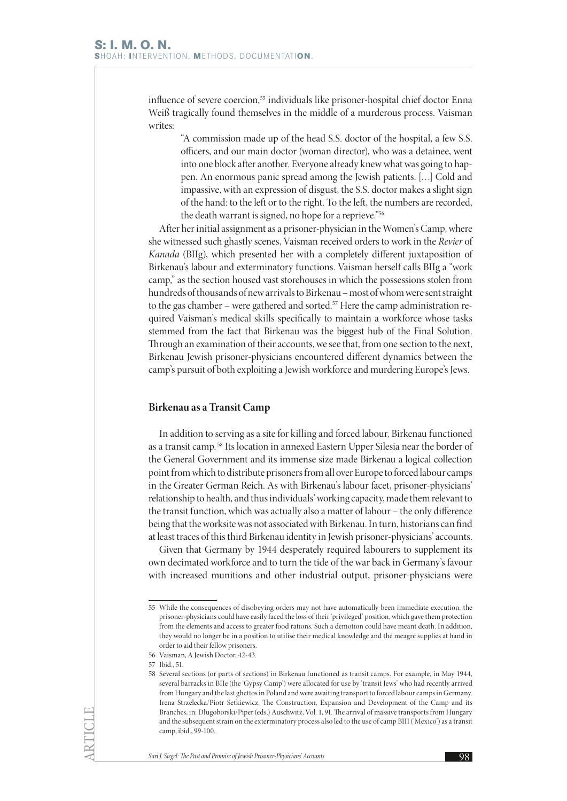influence of severe coercion,<sup>55</sup> individuals like prisoner-hospital chief doctor Enna Weiß tragically found themselves in the middle of a murderous process. Vaisman writes:

"A commission made up of the head S.S. doctor of the hospital, a few S.S. officers, and our main doctor (woman director), who was a detainee, went into one block after another. Everyone already knew what was going to happen. An enormous panic spread among the Jewish patients. […] Cold and impassive, with an expression of disgust, the S.S. doctor makes a slight sign of the hand: to the left or to the right. To the left, the numbers are recorded, the death warrant is signed, no hope for a reprieve."56

After her initial assignment as a prisoner-physician in the Women's Camp, where she witnessed such ghastly scenes, Vaisman received orders to work in the *Revier* of *Kanada* (BIIg), which presented her with a completely different juxtaposition of Birkenau's labour and exterminatory functions. Vaisman herself calls BIIg a "work camp," as the section housed vast storehouses in which the possessions stolen from hundreds of thousands of new arrivals to Birkenau – most of whom were sent straight to the gas chamber – were gathered and sorted.<sup>57</sup> Here the camp administration required Vaisman's medical skills specifically to maintain a workforce whose tasks stemmed from the fact that Birkenau was the biggest hub of the Final Solution. Through an examination of their accounts, we see that, from one section to the next, Birkenau Jewish prisoner-physicians encountered different dynamics between the camp's pursuit of both exploiting a Jewish workforce and murdering Europe's Jews.

#### **Birkenau as a Transit Camp**

In addition to serving as a site for killing and forced labour, Birkenau functioned as a transit camp. 58 Its location in annexed Eastern Upper Silesia near the border of the General Government and its immense size made Birkenau a logical collection point from which to distribute prisoners from all over Europe to forced labour camps in the Greater German Reich. As with Birkenau's labour facet, prisoner-physicians' relationship to health, and thus individuals' working capacity, made them relevant to the transit function, which was actually also a matter of labour – the only difference being that the worksite was not associated with Birkenau. In turn, historians can find at least traces of this third Birkenau identity in Jewish prisoner-physicians' accounts.

Given that Germany by 1944 desperately required labourers to supplement its own decimated workforce and to turn the tide of the war back in Germany's favour with increased munitions and other industrial output, prisoner-physicians were

57 Ibid., 51.

<sup>55</sup> While the consequences of disobeying orders may not have automatically been immediate execution, the prisoner-physicians could have easily faced the loss of their 'privileged' position, which gave them protection from the elements and access to greater food rations. Such a demotion could have meant death. In addition, they would no longer be in a position to utilise their medical knowledge and the meagre supplies at hand in order to aid their fellow prisoners.

<sup>56</sup> Vaisman, A Jewish Doctor, 42-43.

<sup>58</sup> Several sections (or parts of sections) in Birkenau functioned as transit camps. For example, in May 1944, several barracks in BIIe (the 'Gypsy Camp') were allocated for use by 'transit Jews' who had recently arrived from Hungary and the last ghettos in Poland and were awaiting transport to forced labour camps in Germany. Irena Strzelecka/Piotr Setkiewicz, The Construction, Expansion and Development of the Camp and its Branches, in: Długoborski/Piper (eds.) Auschwitz, Vol. 1, 91. The arrival of massive transports from Hungary and the subsequent strain on the exterminatory process also led to the use of camp BIII ('Mexico') as a transit camp, ibid., 99-100.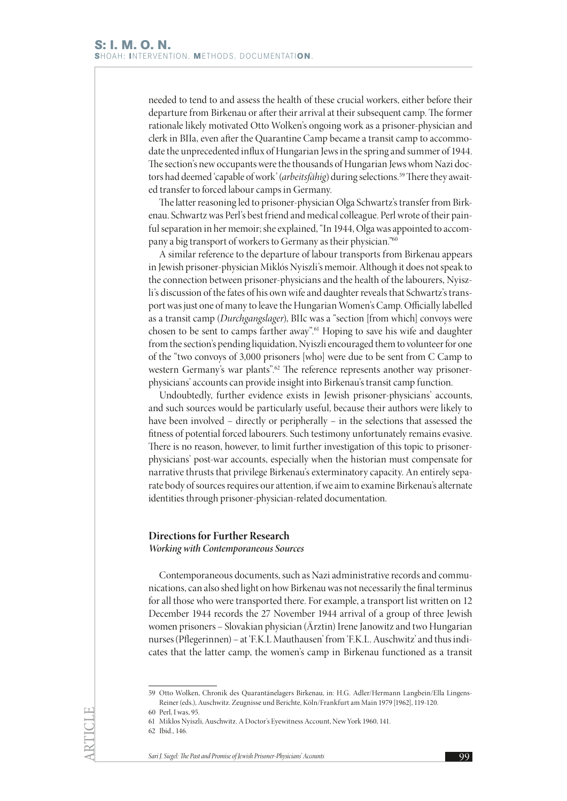needed to tend to and assess the health of these crucial workers, either before their departure from Birkenau or after their arrival at their subsequent camp. The former rationale likely motivated Otto Wolken's ongoing work as a prisoner-physician and clerk in BIIa, even after the Quarantine Camp became a transit camp to accommodate the unprecedented influx of Hungarian Jews in the spring and summer of 1944. The section's new occupants were the thousands of Hungarian Jews whom Nazi doctors had deemed 'capable of work' (arbeitsfähig) during selections.<sup>59</sup> There they awaited transfer to forced labour camps in Germany.

The latter reasoning led to prisoner-physician Olga Schwartz's transfer from Birkenau. Schwartz was Perl's best friend and medical colleague. Perl wrote of their painful separation in her memoir; she explained, "In 1944, Olga was appointed to accompany a big transport of workers to Germany as their physician."60

A similar reference to the departure of labour transports from Birkenau appears in Jewish prisoner-physician Miklós Nyiszli's memoir. Although it does not speak to the connection between prisoner-physicians and the health of the labourers, Nyiszli's discussion of the fates of his own wife and daughter reveals that Schwartz's transport was just one of many to leave the Hungarian Women's Camp. Officially labelled as a transit camp (*Durchgangslager*), BIIc was a "section [from which] convoys were chosen to be sent to camps farther away".61 Hoping to save his wife and daughter from the section's pending liquidation, Nyiszli encouraged them to volunteer for one of the "two convoys of 3,000 prisoners [who] were due to be sent from C Camp to western Germany's war plants".<sup>62</sup> The reference represents another way prisonerphysicians' accounts can provide insight into Birkenau's transit camp function.

Undoubtedly, further evidence exists in Jewish prisoner-physicians' accounts, and such sources would be particularly useful, because their authors were likely to have been involved – directly or peripherally – in the selections that assessed the fitness of potential forced labourers. Such testimony unfortunately remains evasive. There is no reason, however, to limit further investigation of this topic to prisonerphysicians' post-war accounts, especially when the historian must compensate for narrative thrusts that privilege Birkenau's exterminatory capacity. An entirely separate body of sources requires our attention, if we aim to examine Birkenau's alternate identities through prisoner-physician-related documentation.

### **Directions for Further Research**

*Working with Contemporaneous Sources*

Contemporaneous documents, such as Nazi administrative records and communications, can also shed light on how Birkenau was not necessarily the final terminus for all those who were transported there. For example, a transport list written on 12 December 1944 records the 27 November 1944 arrival of a group of three Jewish women prisoners – Slovakian physician (Ärztin) Irene Janowitz and two Hungarian nurses (Pflegerinnen) – at 'F.K.L Mauthausen' from 'F.K.L. Auschwitz' and thus indicates that the latter camp, the women's camp in Birkenau functioned as a transit

<sup>59</sup> Otto Wolken, Chronik des Quarantänelagers Birkenau, in: H.G. Adler/Hermann Langbein/Ella Lingens-Reiner (eds.), Auschwitz. Zeugnisse und Berichte, Köln/Frankfurt am Main 1979 [1962], 119-120.

<sup>60</sup> Perl, I was, 95.

<sup>61</sup> Miklos Nyiszli, Auschwitz. A Doctor's Eyewitness Account, New York 1960, 141.

<sup>62</sup> Ibid., 146.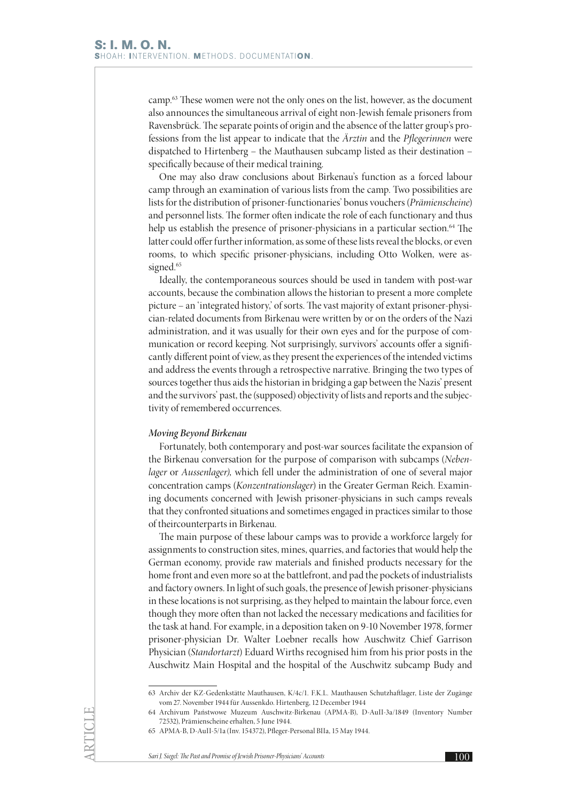camp.63 These women were not the only ones on the list, however, as the document also announces the simultaneous arrival of eight non-Jewish female prisoners from Ravensbrück. The separate points of origin and the absence of the latter group's professions from the list appear to indicate that the *Ärztin* and the *Pflegerinnen* were dispatched to Hirtenberg – the Mauthausen subcamp listed as their destination – specifically because of their medical training.

One may also draw conclusions about Birkenau's function as a forced labour camp through an examination of various lists from the camp. Two possibilities are lists for the distribution of prisoner-functionaries' bonus vouchers (*Prämienscheine*) and personnel lists. The former often indicate the role of each functionary and thus help us establish the presence of prisoner-physicians in a particular section.<sup>64</sup> The latter could offer further information, as some of these lists reveal the blocks, or even rooms, to which specific prisoner-physicians, including Otto Wolken, were assigned.<sup>65</sup>

Ideally, the contemporaneous sources should be used in tandem with post-war accounts, because the combination allows the historian to present a more complete picture – an 'integrated history,' of sorts. The vast majority of extant prisoner-physician-related documents from Birkenau were written by or on the orders of the Nazi administration, and it was usually for their own eyes and for the purpose of communication or record keeping. Not surprisingly, survivors' accounts offer a significantly different point of view, as they present the experiences of the intended victims and address the events through a retrospective narrative. Bringing the two types of sources together thus aids the historian in bridging a gap between the Nazis' present and the survivors' past, the (supposed) objectivity of lists and reports and the subjectivity of remembered occurrences.

#### *Moving Beyond Birkenau*

Fortunately, both contemporary and post-war sources facilitate the expansion of the Birkenau conversation for the purpose of comparison with subcamps (*Nebenlager* or *Aussenlager),* which fell under the administration of one of several major concentration camps (*Konzentrationslager*) in the Greater German Reich. Examining documents concerned with Jewish prisoner-physicians in such camps reveals that they confronted situations and sometimes engaged in practices similar to those of theircounterparts in Birkenau.

The main purpose of these labour camps was to provide a workforce largely for assignments to construction sites, mines, quarries, and factories that would help the German economy, provide raw materials and finished products necessary for the home front and even more so at the battlefront, and pad the pockets of industrialists and factory owners. In light of such goals, the presence of Jewish prisoner-physicians in these locations is not surprising, as they helped to maintain the labour force, even though they more often than not lacked the necessary medications and facilities for the task at hand. For example, in a deposition taken on 9-10 November 1978, former prisoner-physician Dr. Walter Loebner recalls how Auschwitz Chief Garrison Physician (*Standortarzt*) Eduard Wirths recognised him from his prior posts in the Auschwitz Main Hospital and the hospital of the Auschwitz subcamp Budy and

<sup>63</sup> Archiv der KZ-Gedenkstätte Mauthausen, K/4c/1. F.K.L. Mauthausen Schutzhaftlager, Liste der Zugänge vom 27. November 1944 für Aussenkdo. Hirtenberg, 12 December 1944

<sup>64</sup> Archivum Państwowe Muzeum Auschwitz-Birkenau (APMA-B), D-AuII-3a/1849 (Inventory Number 72532), Prämienscheine erhalten, 5 June 1944.

<sup>65</sup> APMA-B, D-AuII-5/1a (Inv. 154372), Pfleger-Personal BIIa, 15 May 1944.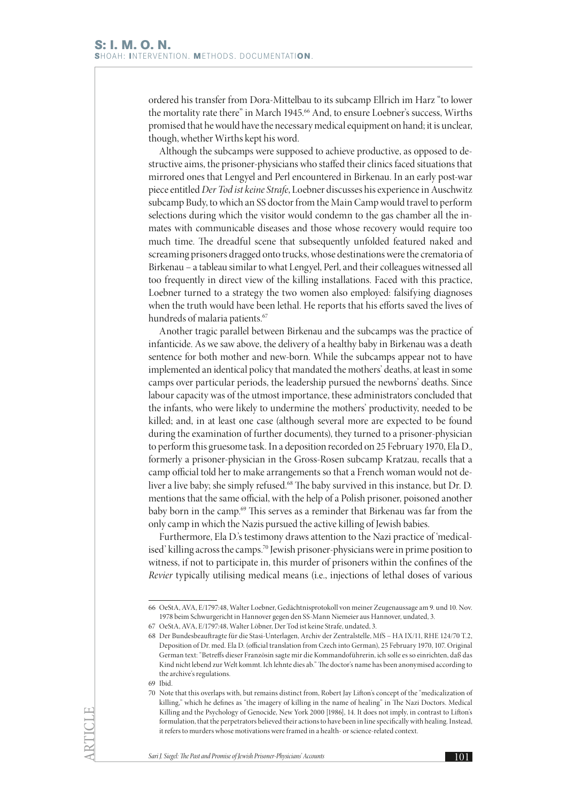ordered his transfer from Dora-Mittelbau to its subcamp Ellrich im Harz "to lower the mortality rate there" in March 1945.<sup>66</sup> And, to ensure Loebner's success, Wirths promised that he would have the necessary medical equipment on hand; it is unclear, though, whether Wirths kept his word.

Although the subcamps were supposed to achieve productive, as opposed to destructive aims, the prisoner-physicians who staffed their clinics faced situations that mirrored ones that Lengyel and Perl encountered in Birkenau. In an early post-war piece entitled *Der Tod ist keine Strafe*, Loebner discusses his experience in Auschwitz subcamp Budy, to which an SS doctor from the Main Camp would travel to perform selections during which the visitor would condemn to the gas chamber all the inmates with communicable diseases and those whose recovery would require too much time. The dreadful scene that subsequently unfolded featured naked and screaming prisoners dragged onto trucks, whose destinations were the crematoria of Birkenau – a tableau similar to what Lengyel, Perl, and their colleagues witnessed all too frequently in direct view of the killing installations. Faced with this practice, Loebner turned to a strategy the two women also employed: falsifying diagnoses when the truth would have been lethal. He reports that his efforts saved the lives of hundreds of malaria patients.<sup>67</sup>

Another tragic parallel between Birkenau and the subcamps was the practice of infanticide. As we saw above, the delivery of a healthy baby in Birkenau was a death sentence for both mother and new-born. While the subcamps appear not to have implemented an identical policy that mandated the mothers' deaths, at least in some camps over particular periods, the leadership pursued the newborns' deaths. Since labour capacity was of the utmost importance, these administrators concluded that the infants, who were likely to undermine the mothers' productivity, needed to be killed; and, in at least one case (although several more are expected to be found during the examination of further documents), they turned to a prisoner-physician to perform this gruesome task. In a deposition recorded on 25 February 1970, Ela D., formerly a prisoner-physician in the Gross-Rosen subcamp Kratzau, recalls that a camp official told her to make arrangements so that a French woman would not deliver a live baby; she simply refused.68 The baby survived in this instance, but Dr. D. mentions that the same official, with the help of a Polish prisoner, poisoned another baby born in the camp.<sup>69</sup> This serves as a reminder that Birkenau was far from the only camp in which the Nazis pursued the active killing of Jewish babies.

Furthermore, Ela D.'s testimony draws attention to the Nazi practice of 'medicalised' killing across the camps.70 Jewish prisoner-physicians were in prime position to witness, if not to participate in, this murder of prisoners within the confines of the *Revier* typically utilising medical means (i.e., injections of lethal doses of various

69 Ibid.

<sup>66</sup> OeStA, AVA, E/1797:48, Walter Loebner, Gedächtnisprotokoll von meiner Zeugenaussage am 9. und 10. Nov. 1978 beim Schwurgericht in Hannover gegen den SS-Mann Niemeier aus Hannover, undated, 3.

<sup>67</sup> OeStA, AVA, E/1797:48, Walter Löbner, Der Tod ist keine Strafe, undated, 3.

<sup>68</sup> Der Bundesbeauftragte für die Stasi-Unterlagen, Archiv der Zentralstelle, MfS – HA IX/11, RHE 124/70 T.2, Deposition of Dr. med. Ela D. (official translation from Czech into German), 25 February 1970, 107. Original German text: "Betreffs dieser Französin sagte mir die Kommandoführerin, ich solle es so einrichten, daß das Kind nicht lebend zur Welt kommt. Ich lehnte dies ab." The doctor's name has been anonymised according to the archive's regulations.

<sup>70</sup> Note that this overlaps with, but remains distinct from, Robert Jay Lifton's concept of the "medicalization of killing," which he defines as "the imagery of killing in the name of healing" in The Nazi Doctors. Medical Killing and the Psychology of Genocide, New York 2000 [1986], 14. It does not imply, in contrast to Lifton's formulation, that the perpetrators believed their actions to have been in line specifically with healing. Instead, it refers to murders whose motivations were framed in a health- or science-related context.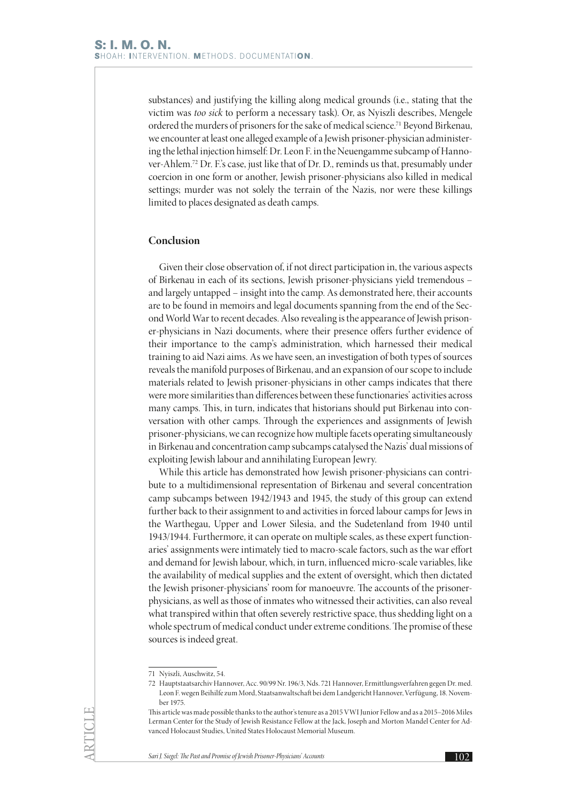substances) and justifying the killing along medical grounds (i.e., stating that the victim was *too sick* to perform a necessary task). Or, as Nyiszli describes, Mengele ordered the murders of prisoners for the sake of medical science.<sup>71</sup> Beyond Birkenau, we encounter at least one alleged example of a Jewish prisoner-physician administering the lethal injection himself: Dr. Leon F. in the Neuengamme subcamp of Hannover-Ahlem.72 Dr. F.'s case, just like that of Dr. D., reminds us that, presumably under coercion in one form or another, Jewish prisoner-physicians also killed in medical settings; murder was not solely the terrain of the Nazis, nor were these killings limited to places designated as death camps.

### **Conclusion**

Given their close observation of, if not direct participation in, the various aspects of Birkenau in each of its sections, Jewish prisoner-physicians yield tremendous – and largely untapped – insight into the camp. As demonstrated here, their accounts are to be found in memoirs and legal documents spanning from the end of the Second World War to recent decades. Also revealing is the appearance of Jewish prisoner-physicians in Nazi documents, where their presence offers further evidence of their importance to the camp's administration, which harnessed their medical training to aid Nazi aims. As we have seen, an investigation of both types of sources reveals the manifold purposes of Birkenau, and an expansion of our scope to include materials related to Jewish prisoner-physicians in other camps indicates that there were more similarities than differences between these functionaries' activities across many camps. This, in turn, indicates that historians should put Birkenau into conversation with other camps. Through the experiences and assignments of Jewish prisoner-physicians, we can recognize how multiple facets operating simultaneously in Birkenau and concentration camp subcamps catalysed the Nazis' dual missions of exploiting Jewish labour and annihilating European Jewry.

While this article has demonstrated how Jewish prisoner-physicians can contribute to a multidimensional representation of Birkenau and several concentration camp subcamps between 1942/1943 and 1945, the study of this group can extend further back to their assignment to and activities in forced labour camps for Jews in the Warthegau, Upper and Lower Silesia, and the Sudetenland from 1940 until 1943/1944. Furthermore, it can operate on multiple scales, as these expert functionaries' assignments were intimately tied to macro-scale factors, such as the war effort and demand for Jewish labour, which, in turn, influenced micro-scale variables, like the availability of medical supplies and the extent of oversight, which then dictated the Jewish prisoner-physicians' room for manoeuvre. The accounts of the prisonerphysicians, as well as those of inmates who witnessed their activities, can also reveal what transpired within that often severely restrictive space, thus shedding light on a whole spectrum of medical conduct under extreme conditions. The promise of these sources is indeed great.

<sup>71</sup> Nyiszli, Auschwitz, 54.

<sup>72</sup> Hauptstaatsarchiv Hannover, Acc. 90/99 Nr. 196/3, Nds. 721 Hannover, Ermittlungsverfahren gegen Dr. med. Leon F. wegen Beihilfe zum Mord, Staatsanwaltschaft bei dem Landgericht Hannover, Verfügung, 18. November 1975.

This article was made possible thanks to the author's tenure as a 2015 VWI Junior Fellow and as a 2015–2016 Miles Lerman Center for the Study of Jewish Resistance Fellow at the Jack, Joseph and Morton Mandel Center for Advanced Holocaust Studies, United States Holocaust Memorial Museum.